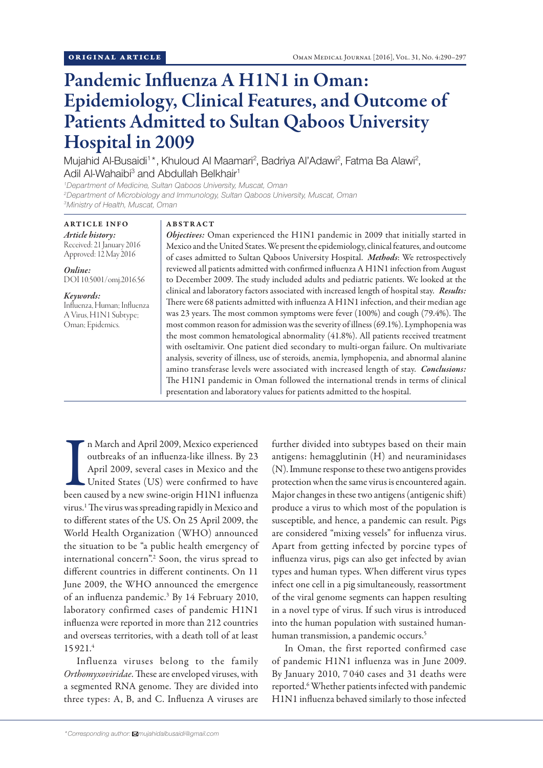# Pandemic Influenza A H1N1 in Oman: Epidemiology, Clinical Features, and Outcome of Patients Admitted to Sultan Qaboos University Hospital in 2009

Mujahid Al-Busaidi<sup>1\*</sup>, Khuloud Al Maamari<sup>2</sup>, Badriya Al'Adawi<sup>2</sup>, Fatma Ba Alawi<sup>2</sup>, Adil Al-Wahaibi<sup>3</sup> and Abdullah Belkhair<sup>1</sup>

*1 Department of Medicine, Sultan Qaboos University, Muscat, Oman 2 Department of Microbiology and Immunology, Sultan Qaboos University, Muscat, Oman 3 Ministry of Health, Muscat, Oman*

### ARTICLE INFO *Article history:*

Received: 21 January 2016 Approved: 12 May 2016

#### *Online:*

DOI 10.5001/omj.2016.56

# *Keywords:*

Influenza, Human; Influenza A Virus, H1N1 Subtype; Oman; Epidemics.

# ABSTRACT

*Objectives:* Oman experienced the H1N1 pandemic in 2009 that initially started in Mexico and the United States. We present the epidemiology, clinical features, and outcome of cases admitted to Sultan Qaboos University Hospital. *Methods*: We retrospectively reviewed all patients admitted with confirmed influenza A H1N1 infection from August to December 2009. The study included adults and pediatric patients. We looked at the clinical and laboratory factors associated with increased length of hospital stay. *Results:* There were 68 patients admitted with influenza A H1N1 infection, and their median age was 23 years. The most common symptoms were fever (100%) and cough (79.4%). The most common reason for admission was the severity of illness (69.1%). Lymphopenia was the most common hematological abnormality (41.8%). All patients received treatment with oseltamivir. One patient died secondary to multi-organ failure. On multivariate analysis, severity of illness, use of steroids, anemia, lymphopenia, and abnormal alanine amino transferase levels were associated with increased length of stay. *Conclusions:* The H1N1 pandemic in Oman followed the international trends in terms of clinical presentation and laboratory values for patients admitted to the hospital.

In March and April 2009, Mexico experienced<br>outbreaks of an influenza-like illness. By 23<br>April 2009, several cases in Mexico and the<br>United States (US) were confirmed to have<br>been caused by a new swine-origin H1N1 influen n March and April 2009, Mexico experienced outbreaks of an influenza-like illness. By 23 April 2009, several cases in Mexico and the United States (US) were confirmed to have virus.1 The virus was spreading rapidly in Mexico and to different states of the US. On 25 April 2009, the World Health Organization (WHO) announced the situation to be "a public health emergency of international concern".2 Soon, the virus spread to different countries in different continents. On 11 June 2009, the WHO announced the emergence of an influenza pandemic.3 By 14 February 2010, laboratory confirmed cases of pandemic H1N1 influenza were reported in more than 212 countries and overseas territories, with a death toll of at least 15 921.4

Influenza viruses belong to the family *Orthomyxoviridae*. These are enveloped viruses, with a segmented RNA genome. They are divided into three types: A, B, and C. Influenza A viruses are further divided into subtypes based on their main antigens: hemagglutinin (H) and neuraminidases (N). Immune response to these two antigens provides protection when the same virus is encountered again. Major changes in these two antigens (antigenic shift) produce a virus to which most of the population is susceptible, and hence, a pandemic can result. Pigs are considered "mixing vessels" for influenza virus. Apart from getting infected by porcine types of influenza virus, pigs can also get infected by avian types and human types. When different virus types infect one cell in a pig simultaneously, reassortment of the viral genome segments can happen resulting in a novel type of virus. If such virus is introduced into the human population with sustained humanhuman transmission, a pandemic occurs.<sup>5</sup>

In Oman, the first reported confirmed case of pandemic H1N1 influenza was in June 2009. By January 2010, 7 040 cases and 31 deaths were reported.<sup>6</sup> Whether patients infected with pandemic H1N1 influenza behaved similarly to those infected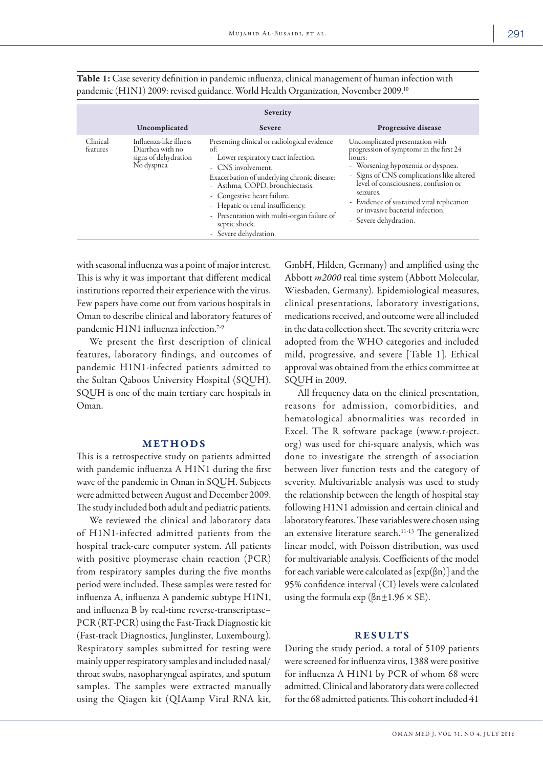| Severity             |                                                                                  |                                                                                                                                                                                                                                                                                                                                                                 |                                                                                                                                                                                                                                                                                                                                       |  |
|----------------------|----------------------------------------------------------------------------------|-----------------------------------------------------------------------------------------------------------------------------------------------------------------------------------------------------------------------------------------------------------------------------------------------------------------------------------------------------------------|---------------------------------------------------------------------------------------------------------------------------------------------------------------------------------------------------------------------------------------------------------------------------------------------------------------------------------------|--|
|                      | Uncomplicated                                                                    | <b>Severe</b>                                                                                                                                                                                                                                                                                                                                                   | Progressive disease                                                                                                                                                                                                                                                                                                                   |  |
| Clinical<br>features | Influenza-like illness<br>Diarrhea with no<br>signs of dehydration<br>No dyspnea | Presenting clinical or radiological evidence<br>of:<br>- Lower respiratory tract infection.<br>- CNS involvement.<br>Exacerbation of underlying chronic disease:<br>- Asthma, COPD, bronchiectasis.<br>- Congestive heart failure.<br>- Hepatic or renal insufficiency.<br>- Presentation with multi-organ failure of<br>septic shock.<br>- Severe dehydration. | Uncomplicated presentation with<br>progression of symptoms in the first 24<br>hours:<br>- Worsening hypoxemia or dyspnea.<br>- Signs of CNS complications like altered<br>level of consciousness, confusion or<br>seizures.<br>- Evidence of sustained viral replication<br>or invasive bacterial infection.<br>- Severe dehydration. |  |

Table 1: Case severity definition in pandemic influenza, clinical management of human infection with pandemic (H1N1) 2009: revised guidance. World Health Organization, November 2009.10

with seasonal influenza was a point of major interest. This is why it was important that different medical institutions reported their experience with the virus. Few papers have come out from various hospitals in Oman to describe clinical and laboratory features of pandemic H1N1 influenza infection.<sup>7-9</sup>

We present the first description of clinical features, laboratory findings, and outcomes of pandemic H1N1-infected patients admitted to the Sultan Qaboos University Hospital (SQUH). SQUH is one of the main tertiary care hospitals in Oman.

# METHODS

This is a retrospective study on patients admitted with pandemic influenza A H1N1 during the first wave of the pandemic in Oman in SQUH. Subjects were admitted between August and December 2009. The study included both adult and pediatric patients.

We reviewed the clinical and laboratory data of H1N1-infected admitted patients from the hospital track-care computer system. All patients with positive ploymerase chain reaction (PCR) from respiratory samples during the five months period were included. These samples were tested for influenza A, influenza A pandemic subtype H1N1, and influenza B by real-time reverse-transcriptase– PCR (RT-PCR) using the Fast-Track Diagnostic kit (Fast-track Diagnostics, Junglinster, Luxembourg). Respiratory samples submitted for testing were mainly upper respiratory samples and included nasal/ throat swabs, nasopharyngeal aspirates, and sputum samples. The samples were extracted manually using the Qiagen kit (QIAamp Viral RNA kit,

GmbH, Hilden, Germany) and amplified using the Abbott *m2000* real time system (Abbott Molecular, Wiesbaden, Germany). Epidemiological measures, clinical presentations, laboratory investigations, medications received, and outcome were all included in the data collection sheet. The severity criteria were adopted from the WHO categories and included mild, progressive, and severe [Table 1]. Ethical approval was obtained from the ethics committee at SQUH in 2009.

All frequency data on the clinical presentation, reasons for admission, comorbidities, and hematological abnormalities was recorded in Excel. The R software package (www.r-project. org) was used for chi-square analysis, which was done to investigate the strength of association between liver function tests and the category of severity. Multivariable analysis was used to study the relationship between the length of hospital stay following H1N1 admission and certain clinical and laboratory features. These variables were chosen using an extensive literature search.11-13 The generalized linear model, with Poisson distribution, was used for multivariable analysis. Coefficients of the model for each variable were calculated as  $[\exp(\beta n)]$  and the 95% confidence interval (CI) levels were calculated using the formula  $\exp$  ( $\beta$ n $\pm$ 1.96  $\times$  SE).

# **RESULTS**

During the study period, a total of 5109 patients were screened for influenza virus, 1388 were positive for influenza A H1N1 by PCR of whom 68 were admitted. Clinical and laboratory data were collected for the 68 admitted patients. This cohort included 41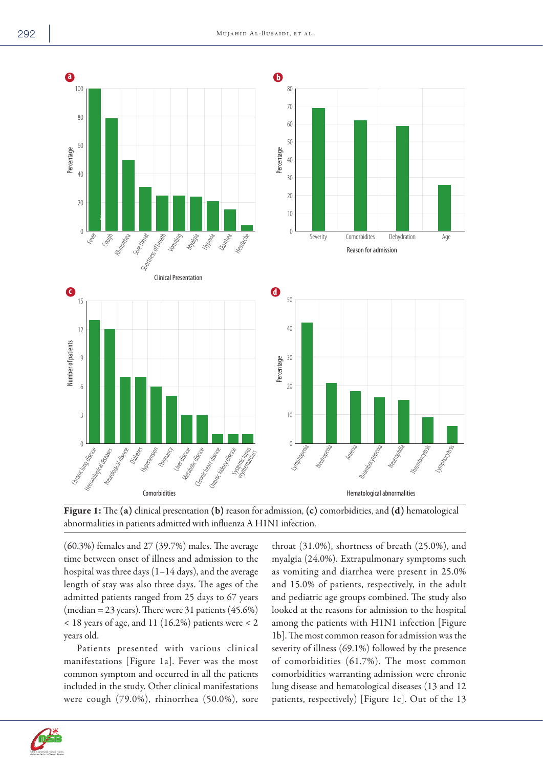



(60.3%) females and 27 (39.7%) males. The average time between onset of illness and admission to the hospital was three days  $(1-14 \text{ days})$ , and the average length of stay was also three days. The ages of the admitted patients ranged from 25 days to 67 years (median = 23 years). There were 31 patients  $(45.6\%)$ < 18 years of age, and 11 (16.2%) patients were < 2 years old.

Patients presented with various clinical manifestations [Figure 1a]. Fever was the most common symptom and occurred in all the patients included in the study. Other clinical manifestations were cough (79.0%), rhinorrhea (50.0%), sore throat (31.0%), shortness of breath (25.0%), and myalgia (24.0%). Extrapulmonary symptoms such as vomiting and diarrhea were present in 25.0% and 15.0% of patients, respectively, in the adult and pediatric age groups combined. The study also looked at the reasons for admission to the hospital among the patients with H1N1 infection [Figure 1b]. The most common reason for admission was the severity of illness (69.1%) followed by the presence of comorbidities (61.7%). The most common comorbidities warranting admission were chronic lung disease and hematological diseases (13 and 12 patients, respectively) [Figure 1c]. Out of the 13

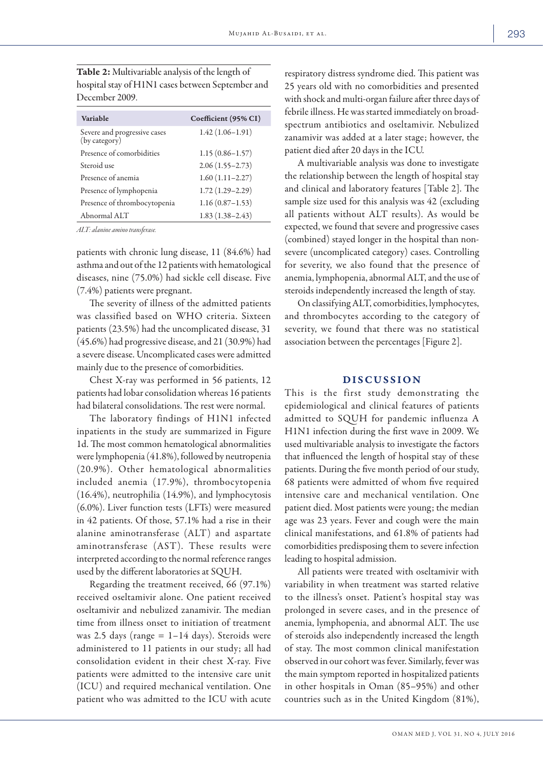| <b>Table 2:</b> Multivariable analysis of the length of |
|---------------------------------------------------------|
| hospital stay of H1N1 cases between September and       |
| December 2009.                                          |

| Variable                                      | Coefficient (95% CI) |
|-----------------------------------------------|----------------------|
| Severe and progressive cases<br>(by category) | $1.42(1.06-1.91)$    |
| Presence of comorbidities                     | $1.15(0.86 - 1.57)$  |
| Steroid use                                   | $2.06(1.55 - 2.73)$  |
| Presence of anemia                            | $1.60(1.11 - 2.27)$  |
| Presence of lymphopenia                       | $1.72(1.29 - 2.29)$  |
| Presence of thrombocytopenia                  | $1.16(0.87 - 1.53)$  |
| Abnormal ALT                                  | $1.83(1.38-2.43)$    |

*ALT: alanine amino transferase.*

patients with chronic lung disease, 11 (84.6%) had asthma and out of the 12 patients with hematological diseases, nine (75.0%) had sickle cell disease. Five (7.4%) patients were pregnant.

The severity of illness of the admitted patients was classified based on WHO criteria. Sixteen patients (23.5%) had the uncomplicated disease, 31 (45.6%) had progressive disease, and 21 (30.9%) had a severe disease. Uncomplicated cases were admitted mainly due to the presence of comorbidities.

Chest X-ray was performed in 56 patients, 12 patients had lobar consolidation whereas 16 patients had bilateral consolidations. The rest were normal.

The laboratory findings of H1N1 infected inpatients in the study are summarized in Figure 1d. The most common hematological abnormalities were lymphopenia (41.8%), followed by neutropenia (20.9%). Other hematological abnormalities included anemia (17.9%), thrombocytopenia (16.4%), neutrophilia (14.9%), and lymphocytosis (6.0%). Liver function tests (LFTs) were measured in 42 patients. Of those, 57.1% had a rise in their alanine aminotransferase (ALT) and aspartate aminotransferase (AST). These results were interpreted according to the normal reference ranges used by the different laboratories at SQUH.

Regarding the treatment received, 66 (97.1%) received oseltamivir alone. One patient received oseltamivir and nebulized zanamivir. The median time from illness onset to initiation of treatment was 2.5 days (range  $= 1-14$  days). Steroids were administered to 11 patients in our study; all had consolidation evident in their chest X-ray. Five patients were admitted to the intensive care unit (ICU) and required mechanical ventilation. One patient who was admitted to the ICU with acute

respiratory distress syndrome died. This patient was 25 years old with no comorbidities and presented with shock and multi-organ failure after three days of febrile illness. He was started immediately on broadspectrum antibiotics and oseltamivir. Nebulized zanamivir was added at a later stage; however, the patient died after 20 days in the ICU.

A multivariable analysis was done to investigate the relationship between the length of hospital stay and clinical and laboratory features [Table 2]. The sample size used for this analysis was 42 (excluding all patients without ALT results). As would be expected, we found that severe and progressive cases (combined) stayed longer in the hospital than nonsevere (uncomplicated category) cases. Controlling for severity, we also found that the presence of anemia, lymphopenia, abnormal ALT, and the use of steroids independently increased the length of stay.

On classifying ALT, comorbidities, lymphocytes, and thrombocytes according to the category of severity, we found that there was no statistical association between the percentages [Figure 2].

### DISCUSSION

This is the first study demonstrating the epidemiological and clinical features of patients admitted to SQUH for pandemic influenza A H1N1 infection during the first wave in 2009. We used multivariable analysis to investigate the factors that influenced the length of hospital stay of these patients. During the five month period of our study, 68 patients were admitted of whom five required intensive care and mechanical ventilation. One patient died. Most patients were young; the median age was 23 years. Fever and cough were the main clinical manifestations, and 61.8% of patients had comorbidities predisposing them to severe infection leading to hospital admission.

All patients were treated with oseltamivir with variability in when treatment was started relative to the illness's onset. Patient's hospital stay was prolonged in severe cases, and in the presence of anemia, lymphopenia, and abnormal ALT. The use of steroids also independently increased the length of stay. The most common clinical manifestation observed in our cohort was fever. Similarly, fever was the main symptom reported in hospitalized patients in other hospitals in Oman (85–95%) and other countries such as in the United Kingdom (81%),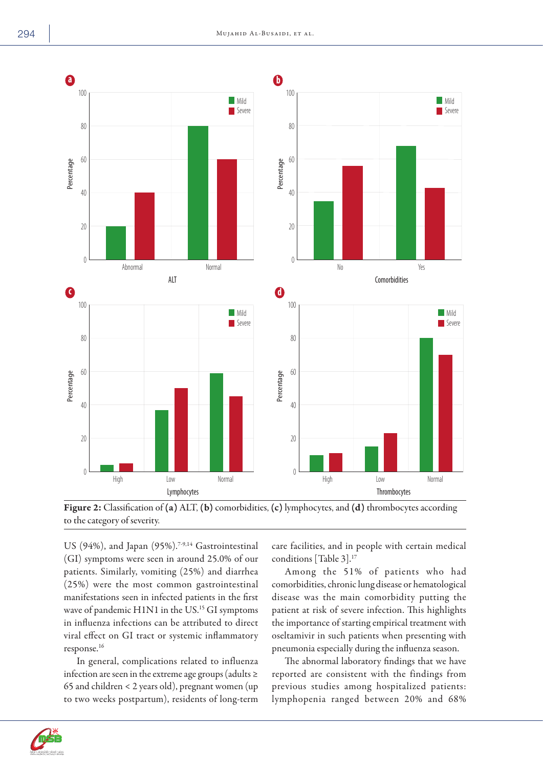

Figure 2: Classification of (a) ALT, (b) comorbidities, (c) lymphocytes, and (d) thrombocytes according to the category of severity.

US (94%), and Japan (95%).<sup>7-9,14</sup> Gastrointestinal (GI) symptoms were seen in around 25.0% of our patients. Similarly, vomiting (25%) and diarrhea (25%) were the most common gastrointestinal manifestations seen in infected patients in the first wave of pandemic H1N1 in the US.<sup>15</sup> GI symptoms in influenza infections can be attributed to direct viral effect on GI tract or systemic inflammatory response.16

In general, complications related to influenza infection are seen in the extreme age groups (adults ≥ 65 and children < 2 years old), pregnant women (up to two weeks postpartum), residents of long-term care facilities, and in people with certain medical conditions [Table 3].17

Among the 51% of patients who had comorbidities, chronic lung disease or hematological disease was the main comorbidity putting the patient at risk of severe infection. This highlights the importance of starting empirical treatment with oseltamivir in such patients when presenting with pneumonia especially during the influenza season.

The abnormal laboratory findings that we have reported are consistent with the findings from previous studies among hospitalized patients: lymphopenia ranged between 20% and 68%

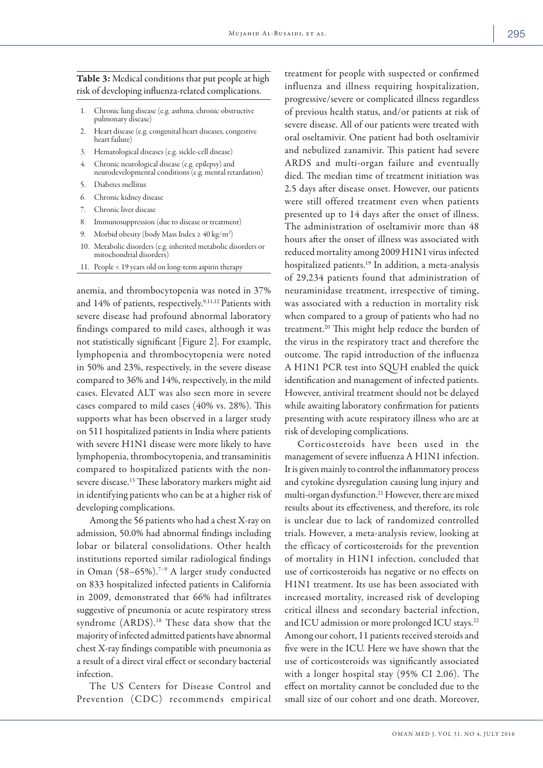# Table 3: Medical conditions that put people at high risk of developing influenza-related complications.

- 1. Chronic lung disease (e.g. asthma, chronic obstructive pulmonary disease)
- 2. Heart disease (e.g. congenital heart diseases, congestive heart failure)
- 3. Hematological diseases (e.g. sickle-cell disease)
- 4. Chronic neurological disease (e.g. epilepsy) and neurodevelopmental conditions (e.g. mental retardation)
- 5. Diabetes mellitus
- 6. Chronic kidney disease
- Chronic liver disease
- 8. Immunosuppression (due to disease or treatment)
- 9. Morbid obesity (body Mass Index  $\geq 40 \text{ kg/m}^2$ )
- 10. Metabolic disorders (e.g. inherited metabolic disorders or mitochondrial disorders)
- 11. People < 19 years old on long-term aspirin therapy

anemia, and thrombocytopenia was noted in 37% and 14% of patients, respectively.9,11,12 Patients with severe disease had profound abnormal laboratory findings compared to mild cases, although it was not statistically significant [Figure 2]. For example, lymphopenia and thrombocytopenia were noted in 50% and 23%, respectively, in the severe disease compared to 36% and 14%, respectively, in the mild cases. Elevated ALT was also seen more in severe cases compared to mild cases (40% vs. 28%). This supports what has been observed in a larger study on 511 hospitalized patients in India where patients with severe H1N1 disease were more likely to have lymphopenia, thrombocytopenia, and transaminitis compared to hospitalized patients with the nonsevere disease.13 These laboratory markers might aid in identifying patients who can be at a higher risk of developing complications.

Among the 56 patients who had a chest X-ray on admission, 50.0% had abnormal findings including lobar or bilateral consolidations. Other health institutions reported similar radiological findings in Oman (58–65%).<sup>7–9</sup> A larger study conducted on 833 hospitalized infected patients in California in 2009, demonstrated that 66% had infiltrates suggestive of pneumonia or acute respiratory stress syndrome (ARDS).<sup>18</sup> These data show that the majority of infected admitted patients have abnormal chest X-ray findings compatible with pneumonia as a result of a direct viral effect or secondary bacterial infection.

The US Centers for Disease Control and Prevention (CDC) recommends empirical

treatment for people with suspected or confirmed influenza and illness requiring hospitalization, progressive/severe or complicated illness regardless of previous health status, and/or patients at risk of severe disease. All of our patients were treated with oral oseltamivir. One patient had both oseltamivir and nebulized zanamivir. This patient had severe ARDS and multi-organ failure and eventually died. The median time of treatment initiation was 2.5 days after disease onset. However, our patients were still offered treatment even when patients presented up to 14 days after the onset of illness. The administration of oseltamivir more than 48 hours after the onset of illness was associated with reduced mortality among 2009 H1N1 virus infected hospitalized patients.19 In addition, a meta-analysis of 29,234 patients found that administration of neuraminidase treatment, irrespective of timing, was associated with a reduction in mortality risk when compared to a group of patients who had no treatment.20 This might help reduce the burden of the virus in the respiratory tract and therefore the outcome. The rapid introduction of the influenza A H1N1 PCR test into SQUH enabled the quick identification and management of infected patients. However, antiviral treatment should not be delayed while awaiting laboratory confirmation for patients presenting with acute respiratory illness who are at risk of developing complications.

Corticosteroids have been used in the management of severe influenza A H1N1 infection. It is given mainly to control the inflammatory process and cytokine dysregulation causing lung injury and multi-organ dysfunction.21 However, there are mixed results about its effectiveness, and therefore, its role is unclear due to lack of randomized controlled trials. However, a meta-analysis review, looking at the efficacy of corticosteroids for the prevention of mortality in H1N1 infection, concluded that use of corticosteroids has negative or no effects on H1N1 treatment. Its use has been associated with increased mortality, increased risk of developing critical illness and secondary bacterial infection, and ICU admission or more prolonged ICU stays.<sup>22</sup> Among our cohort, 11 patients received steroids and five were in the ICU. Here we have shown that the use of corticosteroids was significantly associated with a longer hospital stay (95% CI 2.06). The effect on mortality cannot be concluded due to the small size of our cohort and one death. Moreover,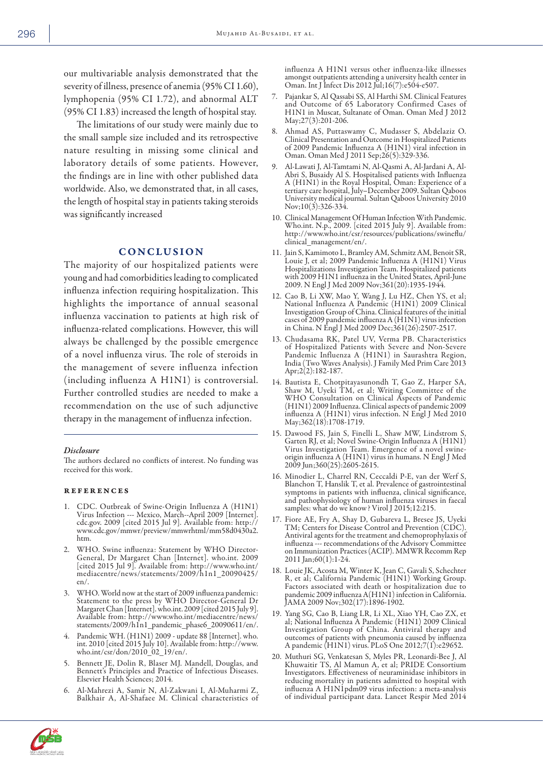our multivariable analysis demonstrated that the severity of illness, presence of anemia (95% CI 1.60), lymphopenia (95% CI 1.72), and abnormal ALT (95% CI 1.83) increased the length of hospital stay.

The limitations of our study were mainly due to the small sample size included and its retrospective nature resulting in missing some clinical and laboratory details of some patients. However, the findings are in line with other published data worldwide. Also, we demonstrated that, in all cases, the length of hospital stay in patients taking steroids was significantly increased

#### **CONCLUSION**

The majority of our hospitalized patients were young and had comorbidities leading to complicated influenza infection requiring hospitalization. This highlights the importance of annual seasonal influenza vaccination to patients at high risk of influenza-related complications. However, this will always be challenged by the possible emergence of a novel influenza virus. The role of steroids in the management of severe influenza infection (including influenza A H1N1) is controversial. Further controlled studies are needed to make a recommendation on the use of such adjunctive therapy in the management of influenza infection.

#### *Disclosure*

The authors declared no conflicts of interest. No funding was received for this work.

#### references

- 1. CDC. Outbreak of Swine-Origin Influenza A (H1N1) Virus Infection --- Mexico, March--April 2009 [Internet]. cdc.gov. 2009 [cited 2015 Jul 9]. Available from: http:// www.cdc.gov/mmwr/preview/mmwrhtml/mm58d0430a2. htm.
- WHO. Swine influenza: Statement by WHO Director-General, Dr Margaret Chan [Internet]. who.int. 2009 [cited 2015 Jul 9]. Available from: http://www.who.int/ mediacentre/news/statements/2009/h1n1\_20090425/ en/.
- WHO. World now at the start of 2009 influenza pandemic: Statement to the press by WHO Director-General Dr Margaret Chan [Internet]. who.int. 2009 [cited 2015 July 9]. Available from: http://www.who.int/mediacentre/news/ statements/2009/h1n1\_pandemic\_phase6\_20090611/en/.
- 4. Pandemic WH. (H1N1) 2009 update 88 [Internet]. who. int. 2010 [cited 2015 July 10]. Available from: http://www. who.int/csr/don/2010\_02\_19/en/.
- 5. Bennett JE, Dolin R, Blaser MJ. Mandell, Douglas, and Bennett's Principles and Practice of Infectious Diseases. Elsevier Health Sciences; 2014.
- 6. Al-Mahrezi A, Samir N, Al-Zakwani I, Al-Muharmi Z, Balkhair A, Al-Shafaee M. Clinical characteristics of

influenza A H1N1 versus other influenza-like illnesses amongst outpatients attending a university health center in Oman. Int J Infect Dis 2012 Jul;16(7):e504-e507.

- 7. Pajankar S, Al Qassabi SS, Al Harthi SM. Clinical Features and Outcome of 65 Laboratory Confirmed Cases of H1N1 in Muscat, Sultanate of Oman. Oman Med J 2012 May;27(3):201-206.
- 8. Ahmad AS, Puttaswamy C, Mudasser S, Abdelaziz O. Clinical Presentation and Outcome in Hospitalized Patients of 2009 Pandemic Influenza A (H1N1) viral infection in Oman. Oman Med J 2011 Sep;26(5):329-336.
- 9. Al-Lawati J, Al-Tamtami N, Al-Qasmi A, Al-Jardani A, Al-Abri S, Busaidy Al S. Hospitalised patients with Influenza A (H1N1) in the Royal Hospital, Oman: Experience of a tertiary care hospital, July–December 2009. Sultan Qaboos University medical journal. Sultan Qaboos University 2010 Nov; $10(3):326-334$ .
- 10. Clinical Management Of Human Infection With Pandemic. Who.int. N.p., 2009. [cited 2015 July 9]. Available from: http://www.who.int/csr/resources/publications/swineflu/ clinical\_management/en/.
- 11. Jain S, Kamimoto L, Bramley AM, Schmitz AM, Benoit SR, Louie J, et al; 2009 Pandemic Influenza A (H1N1) Virus Hospitalizations Investigation Team. Hospitalized patients with 2009 H1N1 influenza in the United States, April-June 2009. N Engl J Med 2009 Nov;361(20):1935-1944.
- 12. Cao B, Li XW, Mao Y, Wang J, Lu HZ, Chen YS, et al; National Influenza A Pandemic (H1N1) 2009 Clinical Investigation Group of China. Clinical features of the initial cases of 2009 pandemic influenza A (H1N1) virus infection in China. N Engl J Med 2009 Dec;361(26):2507-2517.
- 13. Chudasama RK, Patel UV, Verma PB. Characteristics of Hospitalized Patients with Severe and Non-Severe Pandemic Influenza A (H1N1) in Saurashtra Region, India (Two Waves Analysis). J Family Med Prim Care 2013 Apr;2(2):182-187.
- 14. Bautista E, Chotpitayasunondh T, Gao Z, Harper SA, Shaw M, Uyeki TM, et al; Writing Committee of the WHO Consultation on Clinical Aspects of Pandemic (H1N1) 2009 Influenza. Clinical aspects of pandemic 2009 influenza A (H1N1) virus infection. N Engl J Med 2010 May;362(18):1708-1719.
- 15. Dawood FS, Jain S, Finelli L, Shaw MW, Lindstrom S, Garten RJ, et al; Novel Swine-Origin Influenza A (H1N1) origin influenza A (H1N1) virus in humans. N Engl J Med<br>2009 Jun;360(25):2605-2615.
- 16. Minodier L, Charrel RN, Ceccaldi P-E, van der Werf S, Blanchon T, Hanslik T, et al. Prevalence of gastrointestinal symptoms in patients with influenza, clinical significance, and pathophysiology of human influenza viruses in faecal samples: what do we know? Virol J 2015;12:215.
- 17. Fiore AE, Fry A, Shay D, Gubareva L, Bresee JS, Uyeki TM; Centers for Disease Control and Prevention (CDC). Antiviral agents for the treatment and chemoprophylaxis of influenza --- recommendations of the Advisory Committee on Immunization Practices (ACIP). MMWR Recomm Rep 2011 Jan;60(1):1-24.
- 18. Louie JK, Acosta M, Winter K, Jean C, Gavali S, Schechter R, et al; California Pandemic (H1N1) Working Group. Factors associated with death or hospitalization due to pandemic 2009 influenza A(H1N1) infection in California. JAMA 2009 Nov;302(17):1896-1902.
- 19. Yang SG, Cao B, Liang LR, Li XL, Xiao YH, Cao ZX, et al; National Influenza A Pandemic (H1N1) 2009 Clinical Investigation Group of China. Antiviral therapy and outcomes of patients with pneumonia caused by influenza A pandemic (H1N1) virus. PLoS One 2012;7(1):e29652.
- 20. Muthuri SG, Venkatesan S, Myles PR, Leonardi-Bee J, Al Khuwaitir TS, Al Mamun A, et al; PRIDE Consortium Investigators. Effectiveness of neuraminidase inhibitors in reducing mortality in patients admitted to hospital with influenza A H1N1pdm09 virus infection: a meta-analysis of individual participant data. Lancet Respir Med 2014